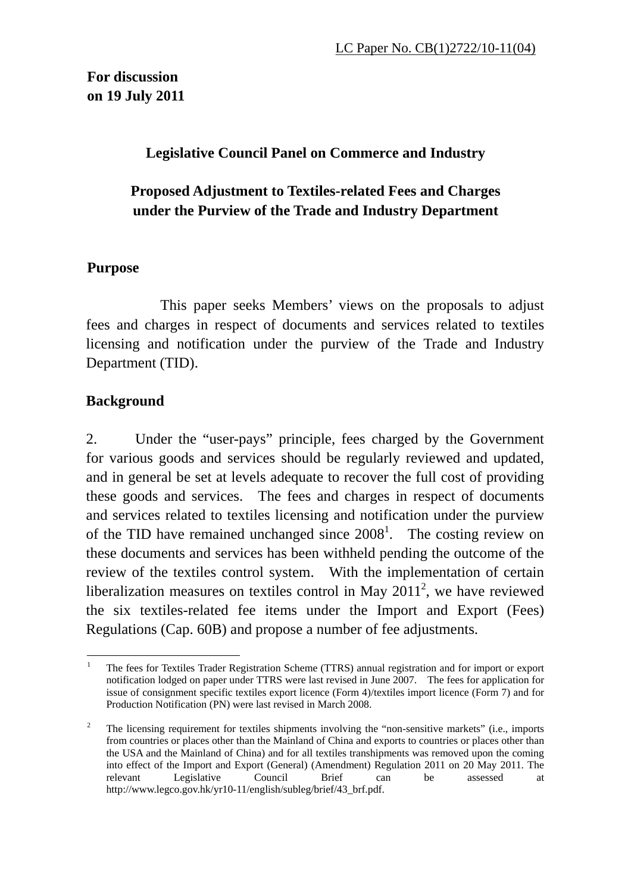### **Legislative Council Panel on Commerce and Industry**

## **Proposed Adjustment to Textiles-related Fees and Charges under the Purview of the Trade and Industry Department**

#### **Purpose**

 This paper seeks Members' views on the proposals to adjust fees and charges in respect of documents and services related to textiles licensing and notification under the purview of the Trade and Industry Department (TID).

#### **Background**

2. Under the "user-pays" principle, fees charged by the Government for various goods and services should be regularly reviewed and updated, and in general be set at levels adequate to recover the full cost of providing these goods and services. The fees and charges in respect of documents and services related to textiles licensing and notification under the purview of the TID have remained unchanged since  $2008<sup>1</sup>$ . The costing review on these documents and services has been withheld pending the outcome of the review of the textiles control system. With the implementation of certain liberalization measures on textiles control in May  $2011^2$ , we have reviewed the six textiles-related fee items under the Import and Export (Fees) Regulations (Cap. 60B) and propose a number of fee adjustments.

 $\overline{a}$ 1 The fees for Textiles Trader Registration Scheme (TTRS) annual registration and for import or export notification lodged on paper under TTRS were last revised in June 2007. The fees for application for issue of consignment specific textiles export licence (Form 4)/textiles import licence (Form 7) and for Production Notification (PN) were last revised in March 2008.

<sup>2</sup> The licensing requirement for textiles shipments involving the "non-sensitive markets" (i.e., imports from countries or places other than the Mainland of China and exports to countries or places other than the USA and the Mainland of China) and for all textiles transhipments was removed upon the coming into effect of the Import and Export (General) (Amendment) Regulation 2011 on 20 May 2011. The relevant Legislative Council Brief can be assessed at http://www.legco.gov.hk/yr10-11/english/subleg/brief/43\_brf.pdf.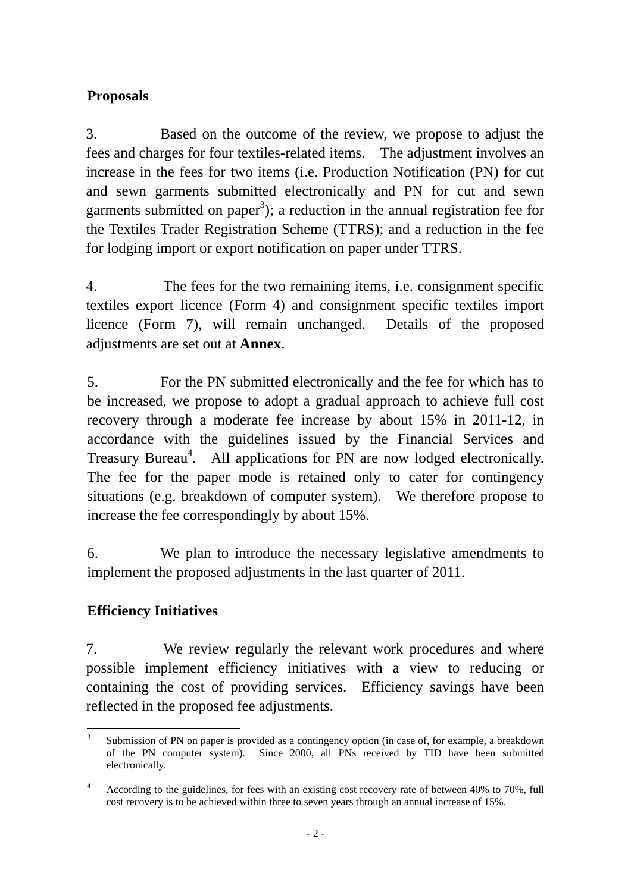# **Proposals**

3. Based on the outcome of the review, we propose to adjust the fees and charges for four textiles-related items. The adjustment involves an increase in the fees for two items (i.e. Production Notification (PN) for cut and sewn garments submitted electronically and PN for cut and sewn garments submitted on paper<sup>3</sup>); a reduction in the annual registration fee for the Textiles Trader Registration Scheme (TTRS); and a reduction in the fee for lodging import or export notification on paper under TTRS.

4. The fees for the two remaining items, i.e. consignment specific textiles export licence (Form 4) and consignment specific textiles import licence (Form 7), will remain unchanged. Details of the proposed adjustments are set out at **Annex**.

5. For the PN submitted electronically and the fee for which has to be increased, we propose to adopt a gradual approach to achieve full cost recovery through a moderate fee increase by about 15% in 2011-12, in accordance with the guidelines issued by the Financial Services and Treasury Bureau<sup>4</sup>. All applications for PN are now lodged electronically. The fee for the paper mode is retained only to cater for contingency situations (e.g. breakdown of computer system). We therefore propose to increase the fee correspondingly by about 15%.

6. We plan to introduce the necessary legislative amendments to implement the proposed adjustments in the last quarter of 2011.

## **Efficiency Initiatives**

7. We review regularly the relevant work procedures and where possible implement efficiency initiatives with a view to reducing or containing the cost of providing services. Efficiency savings have been reflected in the proposed fee adjustments.

 $\overline{a}$ 3 Submission of PN on paper is provided as a contingency option (in case of, for example, a breakdown of the PN computer system). Since 2000, all PNs received by TID have been submitted electronically.

<sup>4</sup> According to the guidelines, for fees with an existing cost recovery rate of between 40% to 70%, full cost recovery is to be achieved within three to seven years through an annual increase of 15%.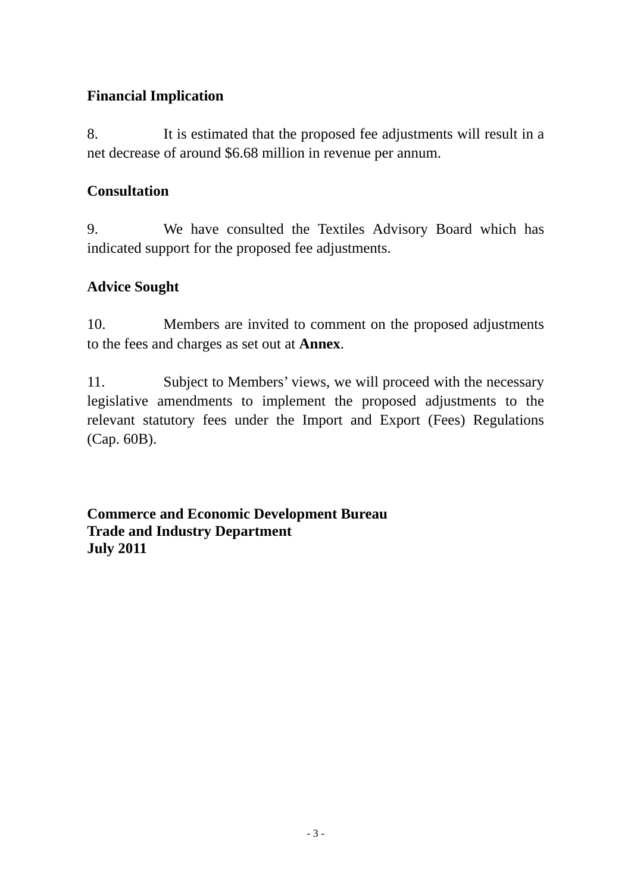## **Financial Implication**

8. It is estimated that the proposed fee adjustments will result in a net decrease of around \$6.68 million in revenue per annum.

#### **Consultation**

9. We have consulted the Textiles Advisory Board which has indicated support for the proposed fee adjustments.

## **Advice Sought**

10. Members are invited to comment on the proposed adjustments to the fees and charges as set out at **Annex**.

11. Subject to Members' views, we will proceed with the necessary legislative amendments to implement the proposed adjustments to the relevant statutory fees under the Import and Export (Fees) Regulations (Cap. 60B).

**Commerce and Economic Development Bureau Trade and Industry Department July 2011**